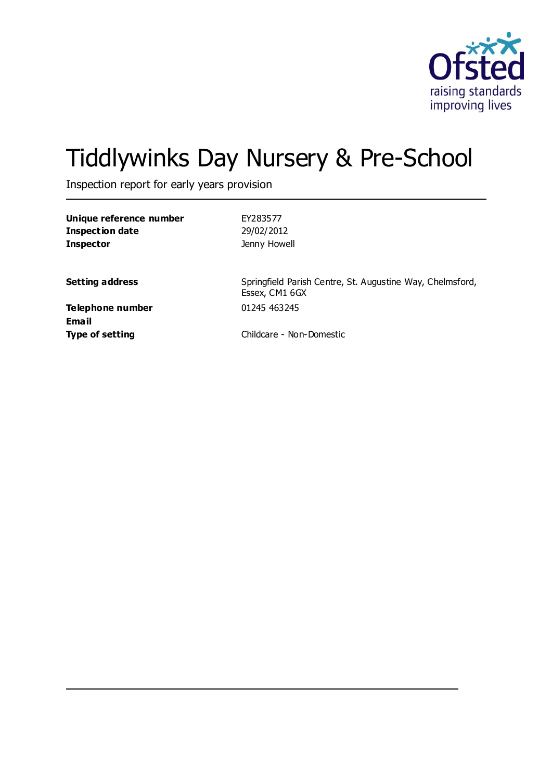

# Tiddlywinks Day Nursery & Pre-School

Inspection report for early years provision

**Unique reference number** EY283577 **Inspection date** 29/02/2012 **Inspector Inspector Jenny Howell** 

**Setting address** Springfield Parish Centre, St. Augustine Way, Chelmsford, Essex, CM1 6GX

**Telephone number** 01245 463245 **Email**

**Type of setting** Childcare - Non-Domestic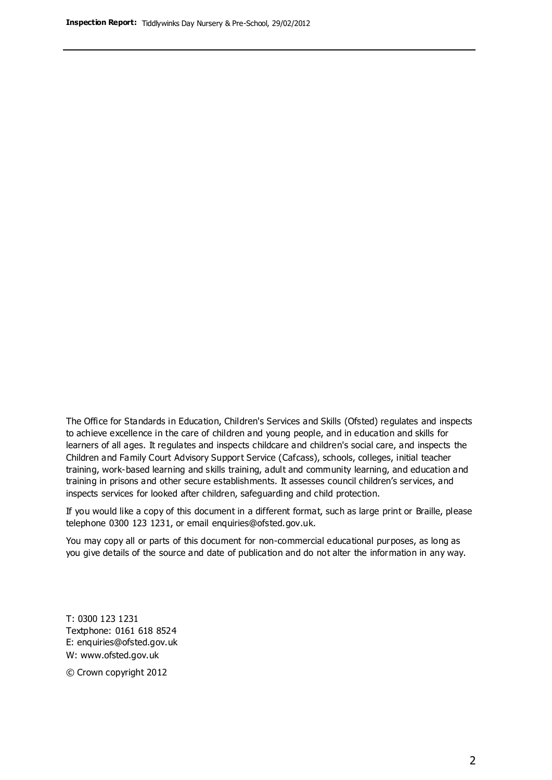The Office for Standards in Education, Children's Services and Skills (Ofsted) regulates and inspects to achieve excellence in the care of children and young people, and in education and skills for learners of all ages. It regulates and inspects childcare and children's social care, and inspects the Children and Family Court Advisory Support Service (Cafcass), schools, colleges, initial teacher training, work-based learning and skills training, adult and community learning, and education and training in prisons and other secure establishments. It assesses council children's services, and inspects services for looked after children, safeguarding and child protection.

If you would like a copy of this document in a different format, such as large print or Braille, please telephone 0300 123 1231, or email enquiries@ofsted.gov.uk.

You may copy all or parts of this document for non-commercial educational purposes, as long as you give details of the source and date of publication and do not alter the information in any way.

T: 0300 123 1231 Textphone: 0161 618 8524 E: enquiries@ofsted.gov.uk W: [www.ofsted.gov.uk](http://www.ofsted.gov.uk/)

© Crown copyright 2012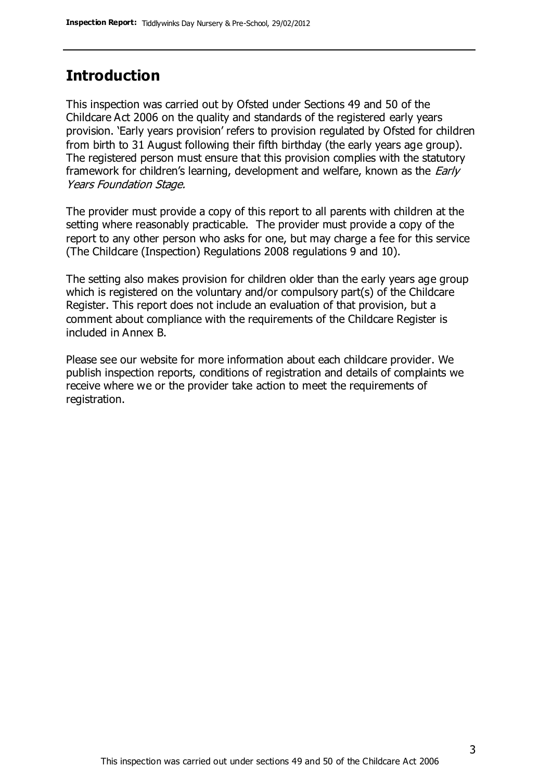#### **Introduction**

This inspection was carried out by Ofsted under Sections 49 and 50 of the Childcare Act 2006 on the quality and standards of the registered early years provision. 'Early years provision' refers to provision regulated by Ofsted for children from birth to 31 August following their fifth birthday (the early years age group). The registered person must ensure that this provision complies with the statutory framework for children's learning, development and welfare, known as the *Early* Years Foundation Stage.

The provider must provide a copy of this report to all parents with children at the setting where reasonably practicable. The provider must provide a copy of the report to any other person who asks for one, but may charge a fee for this service (The Childcare (Inspection) Regulations 2008 regulations 9 and 10).

The setting also makes provision for children older than the early years age group which is registered on the voluntary and/or compulsory part(s) of the Childcare Register. This report does not include an evaluation of that provision, but a comment about compliance with the requirements of the Childcare Register is included in Annex B.

Please see our website for more information about each childcare provider. We publish inspection reports, conditions of registration and details of complaints we receive where we or the provider take action to meet the requirements of registration.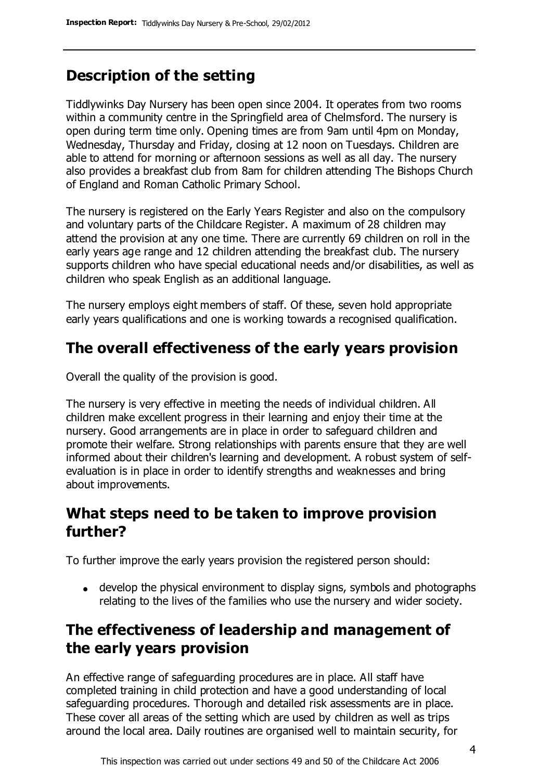## **Description of the setting**

Tiddlywinks Day Nursery has been open since 2004. It operates from two rooms within a community centre in the Springfield area of Chelmsford. The nursery is open during term time only. Opening times are from 9am until 4pm on Monday, Wednesday, Thursday and Friday, closing at 12 noon on Tuesdays. Children are able to attend for morning or afternoon sessions as well as all day. The nursery also provides a breakfast club from 8am for children attending The Bishops Church of England and Roman Catholic Primary School.

The nursery is registered on the Early Years Register and also on the compulsory and voluntary parts of the Childcare Register. A maximum of 28 children may attend the provision at any one time. There are currently 69 children on roll in the early years age range and 12 children attending the breakfast club. The nursery supports children who have special educational needs and/or disabilities, as well as children who speak English as an additional language.

The nursery employs eight members of staff. Of these, seven hold appropriate early years qualifications and one is working towards a recognised qualification.

## **The overall effectiveness of the early years provision**

Overall the quality of the provision is good.

The nursery is very effective in meeting the needs of individual children. All children make excellent progress in their learning and enjoy their time at the nursery. Good arrangements are in place in order to safeguard children and promote their welfare. Strong relationships with parents ensure that they are well informed about their children's learning and development. A robust system of selfevaluation is in place in order to identify strengths and weaknesses and bring about improvements.

### **What steps need to be taken to improve provision further?**

To further improve the early years provision the registered person should:

develop the physical environment to display signs, symbols and photographs relating to the lives of the families who use the nursery and wider society.

## **The effectiveness of leadership and management of the early years provision**

An effective range of safeguarding procedures are in place. All staff have completed training in child protection and have a good understanding of local safeguarding procedures. Thorough and detailed risk assessments are in place. These cover all areas of the setting which are used by children as well as trips around the local area. Daily routines are organised well to maintain security, for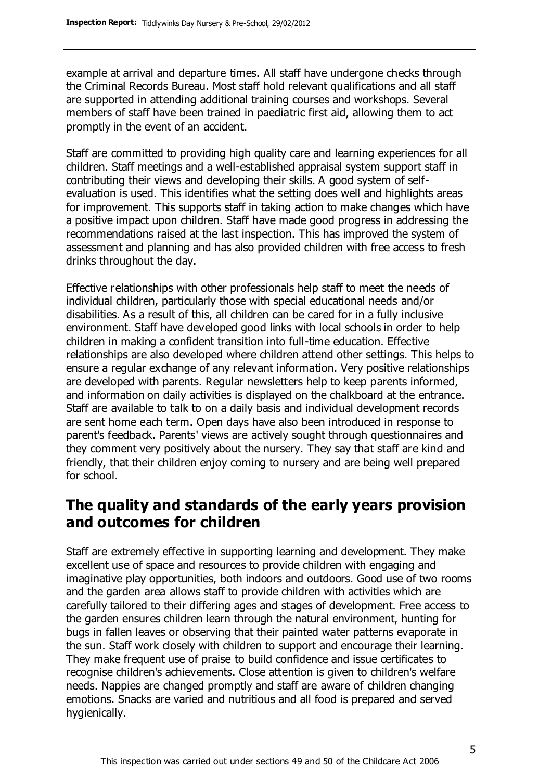example at arrival and departure times. All staff have undergone checks through the Criminal Records Bureau. Most staff hold relevant qualifications and all staff are supported in attending additional training courses and workshops. Several members of staff have been trained in paediatric first aid, allowing them to act promptly in the event of an accident.

Staff are committed to providing high quality care and learning experiences for all children. Staff meetings and a well-established appraisal system support staff in contributing their views and developing their skills. A good system of selfevaluation is used. This identifies what the setting does well and highlights areas for improvement. This supports staff in taking action to make changes which have a positive impact upon children. Staff have made good progress in addressing the recommendations raised at the last inspection. This has improved the system of assessment and planning and has also provided children with free access to fresh drinks throughout the day.

Effective relationships with other professionals help staff to meet the needs of individual children, particularly those with special educational needs and/or disabilities. As a result of this, all children can be cared for in a fully inclusive environment. Staff have developed good links with local schools in order to help children in making a confident transition into full-time education. Effective relationships are also developed where children attend other settings. This helps to ensure a regular exchange of any relevant information. Very positive relationships are developed with parents. Regular newsletters help to keep parents informed, and information on daily activities is displayed on the chalkboard at the entrance. Staff are available to talk to on a daily basis and individual development records are sent home each term. Open days have also been introduced in response to parent's feedback. Parents' views are actively sought through questionnaires and they comment very positively about the nursery. They say that staff are kind and friendly, that their children enjoy coming to nursery and are being well prepared for school.

#### **The quality and standards of the early years provision and outcomes for children**

Staff are extremely effective in supporting learning and development. They make excellent use of space and resources to provide children with engaging and imaginative play opportunities, both indoors and outdoors. Good use of two rooms and the garden area allows staff to provide children with activities which are carefully tailored to their differing ages and stages of development. Free access to the garden ensures children learn through the natural environment, hunting for bugs in fallen leaves or observing that their painted water patterns evaporate in the sun. Staff work closely with children to support and encourage their learning. They make frequent use of praise to build confidence and issue certificates to recognise children's achievements. Close attention is given to children's welfare needs. Nappies are changed promptly and staff are aware of children changing emotions. Snacks are varied and nutritious and all food is prepared and served hygienically.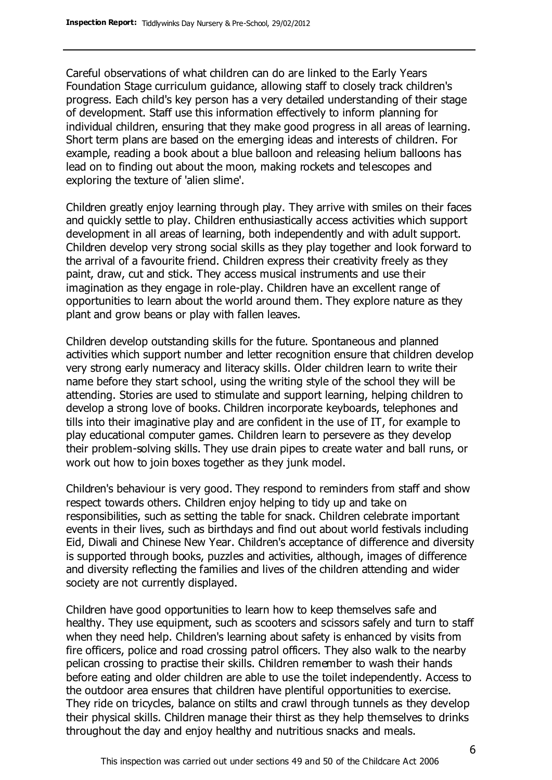Careful observations of what children can do are linked to the Early Years Foundation Stage curriculum guidance, allowing staff to closely track children's progress. Each child's key person has a very detailed understanding of their stage of development. Staff use this information effectively to inform planning for individual children, ensuring that they make good progress in all areas of learning. Short term plans are based on the emerging ideas and interests of children. For example, reading a book about a blue balloon and releasing helium balloons has lead on to finding out about the moon, making rockets and telescopes and exploring the texture of 'alien slime'.

Children greatly enjoy learning through play. They arrive with smiles on their faces and quickly settle to play. Children enthusiastically access activities which support development in all areas of learning, both independently and with adult support. Children develop very strong social skills as they play together and look forward to the arrival of a favourite friend. Children express their creativity freely as they paint, draw, cut and stick. They access musical instruments and use their imagination as they engage in role-play. Children have an excellent range of opportunities to learn about the world around them. They explore nature as they plant and grow beans or play with fallen leaves.

Children develop outstanding skills for the future. Spontaneous and planned activities which support number and letter recognition ensure that children develop very strong early numeracy and literacy skills. Older children learn to write their name before they start school, using the writing style of the school they will be attending. Stories are used to stimulate and support learning, helping children to develop a strong love of books. Children incorporate keyboards, telephones and tills into their imaginative play and are confident in the use of IT, for example to play educational computer games. Children learn to persevere as they develop their problem-solving skills. They use drain pipes to create water and ball runs, or work out how to join boxes together as they junk model.

Children's behaviour is very good. They respond to reminders from staff and show respect towards others. Children enjoy helping to tidy up and take on responsibilities, such as setting the table for snack. Children celebrate important events in their lives, such as birthdays and find out about world festivals including Eid, Diwali and Chinese New Year. Children's acceptance of difference and diversity is supported through books, puzzles and activities, although, images of difference and diversity reflecting the families and lives of the children attending and wider society are not currently displayed.

Children have good opportunities to learn how to keep themselves safe and healthy. They use equipment, such as scooters and scissors safely and turn to staff when they need help. Children's learning about safety is enhanced by visits from fire officers, police and road crossing patrol officers. They also walk to the nearby pelican crossing to practise their skills. Children remember to wash their hands before eating and older children are able to use the toilet independently. Access to the outdoor area ensures that children have plentiful opportunities to exercise. They ride on tricycles, balance on stilts and crawl through tunnels as they develop their physical skills. Children manage their thirst as they help themselves to drinks throughout the day and enjoy healthy and nutritious snacks and meals.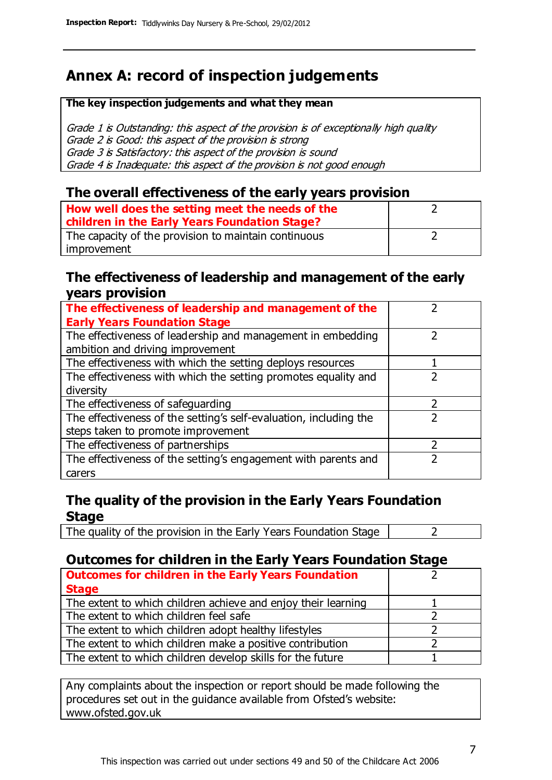## **Annex A: record of inspection judgements**

#### **The key inspection judgements and what they mean**

Grade 1 is Outstanding: this aspect of the provision is of exceptionally high quality Grade 2 is Good: this aspect of the provision is strong Grade 3 is Satisfactory: this aspect of the provision is sound Grade 4 is Inadequate: this aspect of the provision is not good enough

#### **The overall effectiveness of the early years provision**

| How well does the setting meet the needs of the<br>children in the Early Years Foundation Stage? |  |
|--------------------------------------------------------------------------------------------------|--|
| The capacity of the provision to maintain continuous                                             |  |
| improvement                                                                                      |  |

#### **The effectiveness of leadership and management of the early years provision**

| The effectiveness of leadership and management of the             |  |
|-------------------------------------------------------------------|--|
| <b>Early Years Foundation Stage</b>                               |  |
| The effectiveness of leadership and management in embedding       |  |
| ambition and driving improvement                                  |  |
| The effectiveness with which the setting deploys resources        |  |
| The effectiveness with which the setting promotes equality and    |  |
| diversity                                                         |  |
| The effectiveness of safeguarding                                 |  |
| The effectiveness of the setting's self-evaluation, including the |  |
| steps taken to promote improvement                                |  |
| The effectiveness of partnerships                                 |  |
| The effectiveness of the setting's engagement with parents and    |  |
| carers                                                            |  |

#### **The quality of the provision in the Early Years Foundation Stage**

The quality of the provision in the Early Years Foundation Stage  $\vert$  2

#### **Outcomes for children in the Early Years Foundation Stage**

| <b>Outcomes for children in the Early Years Foundation</b>    |  |
|---------------------------------------------------------------|--|
| <b>Stage</b>                                                  |  |
| The extent to which children achieve and enjoy their learning |  |
| The extent to which children feel safe                        |  |
| The extent to which children adopt healthy lifestyles         |  |
| The extent to which children make a positive contribution     |  |
| The extent to which children develop skills for the future    |  |

Any complaints about the inspection or report should be made following the procedures set out in the guidance available from Ofsted's website: www.ofsted.gov.uk